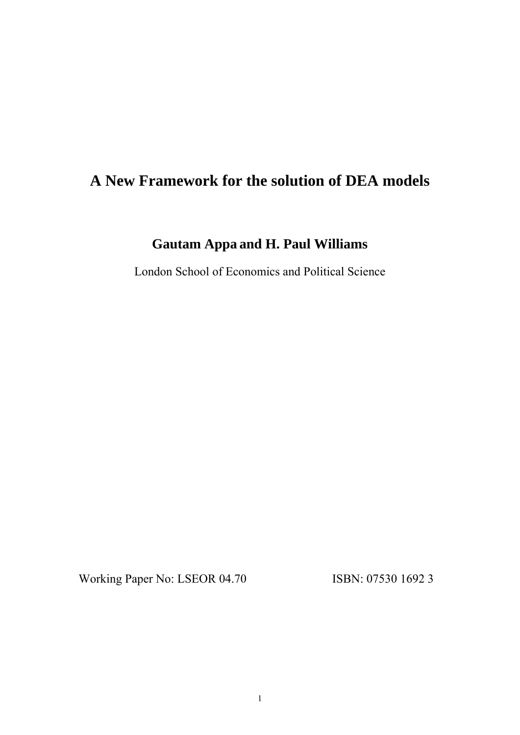# **A New Framework for the solution of DEA models**

# **Gautam Appa and H. Paul Williams**

London School of Economics and Political Science

Working Paper No: LSEOR 04.70 ISBN: 07530 1692 3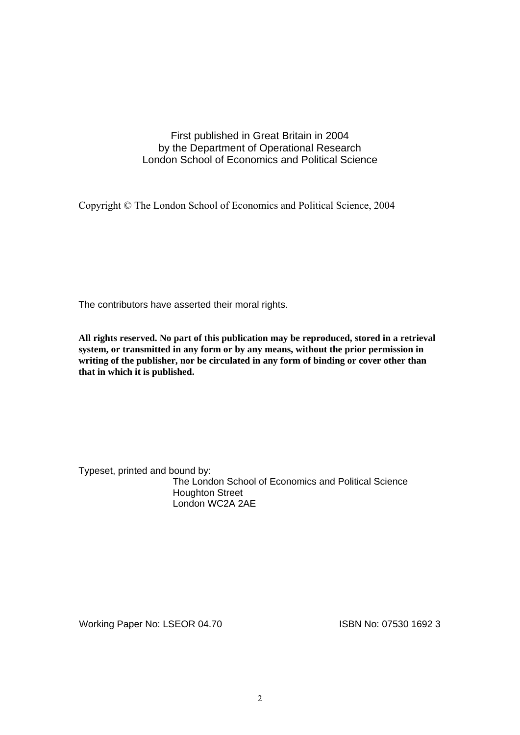# First published in Great Britain in 2004 by the Department of Operational Research London School of Economics and Political Science

Copyright © The London School of Economics and Political Science, 2004

The contributors have asserted their moral rights.

**All rights reserved. No part of this publication may be reproduced, stored in a retrieval system, or transmitted in any form or by any means, without the prior permission in writing of the publisher, nor be circulated in any form of binding or cover other than that in which it is published.** 

Typeset, printed and bound by: The London School of Economics and Political Science Houghton Street

London WC2A 2AE

Working Paper No: LSEOR 04.70 ISBN No: 07530 1692 3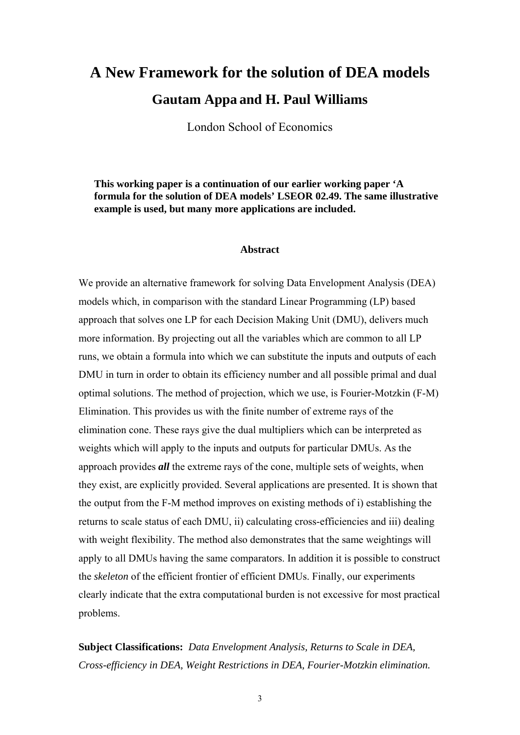# **A New Framework for the solution of DEA models Gautam Appa and H. Paul Williams**

London School of Economics

**This working paper is a continuation of our earlier working paper 'A formula for the solution of DEA models' LSEOR 02.49. The same illustrative example is used, but many more applications are included.** 

#### **Abstract**

We provide an alternative framework for solving Data Envelopment Analysis (DEA) models which, in comparison with the standard Linear Programming (LP) based approach that solves one LP for each Decision Making Unit (DMU), delivers much more information. By projecting out all the variables which are common to all LP runs, we obtain a formula into which we can substitute the inputs and outputs of each DMU in turn in order to obtain its efficiency number and all possible primal and dual optimal solutions. The method of projection, which we use, is Fourier-Motzkin (F-M) Elimination. This provides us with the finite number of extreme rays of the elimination cone. These rays give the dual multipliers which can be interpreted as weights which will apply to the inputs and outputs for particular DMUs. As the approach provides *all* the extreme rays of the cone, multiple sets of weights, when they exist, are explicitly provided. Several applications are presented. It is shown that the output from the F-M method improves on existing methods of i) establishing the returns to scale status of each DMU, ii) calculating cross-efficiencies and iii) dealing with weight flexibility. The method also demonstrates that the same weightings will apply to all DMUs having the same comparators. In addition it is possible to construct the *skeleton* of the efficient frontier of efficient DMUs. Finally, our experiments clearly indicate that the extra computational burden is not excessive for most practical problems.

**Subject Classifications:** *Data Envelopment Analysis, Returns to Scale in DEA, Cross-efficiency in DEA, Weight Restrictions in DEA, Fourier-Motzkin elimination.*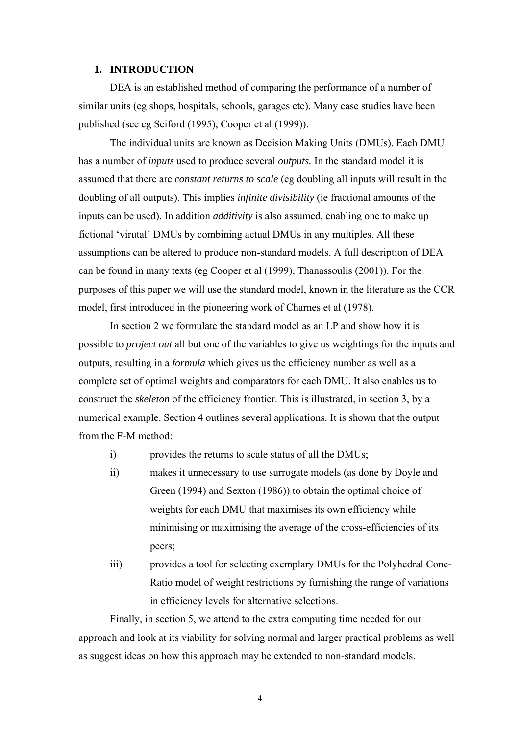#### **1. INTRODUCTION**

DEA is an established method of comparing the performance of a number of similar units (eg shops, hospitals, schools, garages etc). Many case studies have been published (see eg Seiford (1995), Cooper et al (1999)).

 The individual units are known as Decision Making Units (DMUs). Each DMU has a number of *inputs* used to produce several *outputs.* In the standard model it is assumed that there are *constant returns to scale* (eg doubling all inputs will result in the doubling of all outputs). This implies *infinite divisibility* (ie fractional amounts of the inputs can be used). In addition *additivity* is also assumed, enabling one to make up fictional 'virutal' DMUs by combining actual DMUs in any multiples. All these assumptions can be altered to produce non-standard models. A full description of DEA can be found in many texts (eg Cooper et al (1999), Thanassoulis (2001)). For the purposes of this paper we will use the standard model, known in the literature as the CCR model, first introduced in the pioneering work of Charnes et al (1978).

In section 2 we formulate the standard model as an LP and show how it is possible to *project out* all but one of the variables to give us weightings for the inputs and outputs, resulting in a *formula* which gives us the efficiency number as well as a complete set of optimal weights and comparators for each DMU. It also enables us to construct the *skeleton* of the efficiency frontier. This is illustrated, in section 3, by a numerical example. Section 4 outlines several applications. It is shown that the output from the F-M method:

i) provides the returns to scale status of all the DMUs;

- ii) makes it unnecessary to use surrogate models (as done by Doyle and Green (1994) and Sexton (1986)) to obtain the optimal choice of weights for each DMU that maximises its own efficiency while minimising or maximising the average of the cross-efficiencies of its peers;
- iii) provides a tool for selecting exemplary DMUs for the Polyhedral Cone-Ratio model of weight restrictions by furnishing the range of variations in efficiency levels for alternative selections.

Finally, in section 5, we attend to the extra computing time needed for our approach and look at its viability for solving normal and larger practical problems as well as suggest ideas on how this approach may be extended to non-standard models.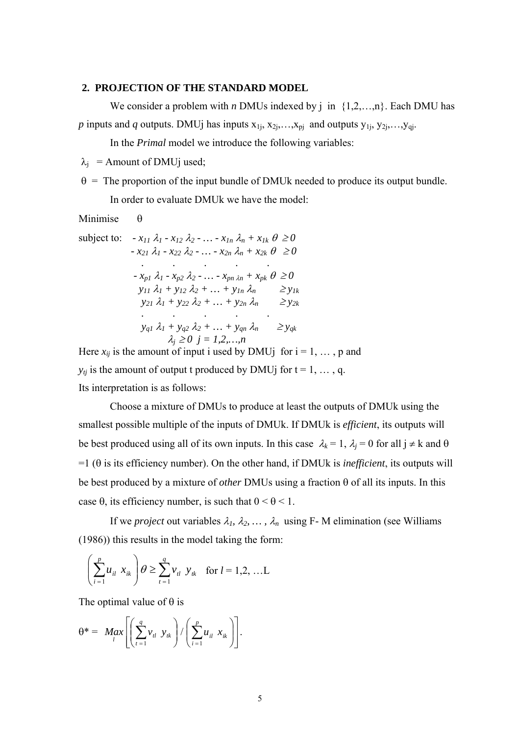## **2. PROJECTION OF THE STANDARD MODEL**

We consider a problem with *n* DMUs indexed by j in  $\{1, 2, \ldots, n\}$ . Each DMU has

*p* inputs and *q* outputs. DMUj has inputs  $x_{1j}$ ,  $x_{2j}$ ,…, $x_{pj}$  and outputs  $y_{1j}$ ,  $y_{2j}$ ,…, $y_{qi}$ .

In the *Primal* model we introduce the following variables:

 $\lambda_i$  = Amount of DMU<sub>j</sub> used;

 $\theta$  = The proportion of the input bundle of DMUk needed to produce its output bundle. In order to evaluate DMUk we have the model:

Minimise θ

subject to: 
$$
x_{11} \lambda_1 - x_{12} \lambda_2 - \dots - x_{1n} \lambda_n + x_{1k} \theta \ge 0
$$

$$
- x_{21} \lambda_1 - x_{22} \lambda_2 - \dots - x_{2n} \lambda_n + x_{2k} \theta \ge 0
$$

$$
- x_{p1} \lambda_1 - x_{p2} \lambda_2 - \dots - x_{pn} \lambda_n + x_{pk} \theta \ge 0
$$

$$
y_{11} \lambda_1 + y_{12} \lambda_2 + \dots + y_{1n} \lambda_n \ge y_{1k}
$$

$$
y_{21} \lambda_1 + y_{22} \lambda_2 + \dots + y_{2n} \lambda_n \ge y_{2k}
$$

$$
y_{q1} \lambda_1 + y_{q2} \lambda_2 + \dots + y_{qn} \lambda_n \ge y_{qk}
$$

$$
\lambda_j \ge 0 \quad j = 1, 2, \dots, n
$$

Here  $x_{ij}$  is the amount of input i used by DMUj for  $i = 1, \ldots, p$  and  $y_{ij}$  is the amount of output t produced by DMUj for  $t = 1, \ldots, q$ . Its interpretation is as follows:

 Choose a mixture of DMUs to produce at least the outputs of DMUk using the smallest possible multiple of the inputs of DMUk. If DMUk is *efficient*, its outputs will be best produced using all of its own inputs. In this case  $\lambda_k = 1$ ,  $\lambda_j = 0$  for all  $j \neq k$  and  $\theta$  $=1$  ( $\theta$  is its efficiency number). On the other hand, if DMUk is *inefficient*, its outputs will be best produced by a mixture of *other* DMUs using a fraction θ of all its inputs. In this case  $\theta$ , its efficiency number, is such that  $0 < \theta < 1$ .

If we *project* out variables  $\lambda_1$ ,  $\lambda_2$ , ...,  $\lambda_n$  using F- M elimination (see Williams (1986)) this results in the model taking the form:

$$
\left(\sum_{i=1}^{p} u_{il} \; x_{ik}\right) \theta \ge \sum_{t=1}^{q} v_{il} \; y_{tk} \quad \text{for } l = 1, 2, \dots L
$$

The optimal value of  $\theta$  is

$$
\theta^* = \operatorname{Max}_{l} \left[ \left( \sum_{t=1}^{q} v_{tl} \, y_{tk} \right) / \left( \sum_{i=1}^{p} u_{il} \, x_{ik} \right) \right].
$$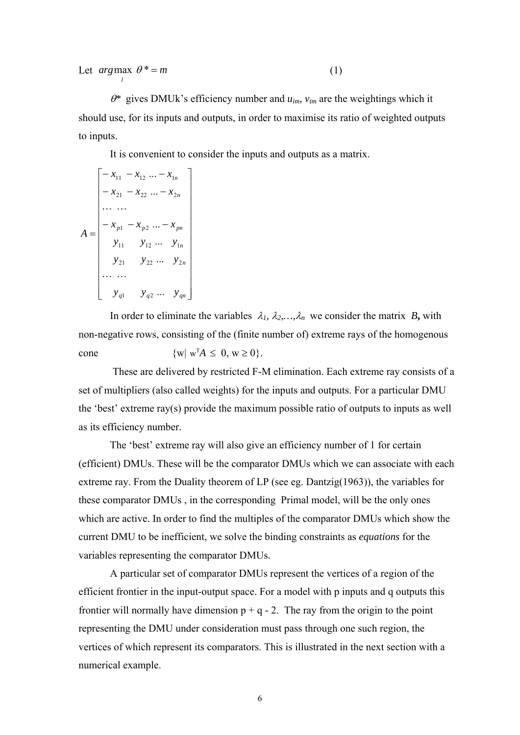Let 
$$
\underset{l}{arg\max} \ \theta^* = m \tag{1}
$$

 $\theta^*$  gives DMUk's efficiency number and  $u_{im}$ ,  $v_{im}$  are the weightings which it should use, for its inputs and outputs, in order to maximise its ratio of weighted outputs to inputs.

It is convenient to consider the inputs and outputs as a matrix.

$$
A = \begin{bmatrix} -x_{11} - x_{12} & \dots - x_{1n} \\ -x_{21} - x_{22} & \dots - x_{2n} \\ \dots & \dots \\ -x_{p1} - x_{p2} & \dots - x_{pn} \\ y_{11} & y_{12} & \dots & y_{1n} \\ y_{21} & y_{22} & \dots & y_{2n} \\ \dots & \dots \\ y_{q1} & y_{q2} & \dots & y_{qn} \end{bmatrix}
$$

In order to eliminate the variables  $\lambda_1, \lambda_2, \ldots, \lambda_n$  we consider the matrix *B*, with non-negative rows, consisting of the (finite number of) extreme rays of the homogenous cone  $\{w | w^T A \leq 0, w \geq 0\}.$ 

 These are delivered by restricted F-M elimination. Each extreme ray consists of a set of multipliers (also called weights) for the inputs and outputs. For a particular DMU the 'best' extreme ray(s) provide the maximum possible ratio of outputs to inputs as well as its efficiency number.

 The 'best' extreme ray will also give an efficiency number of 1 for certain (efficient) DMUs. These will be the comparator DMUs which we can associate with each extreme ray. From the Duality theorem of LP (see eg. Dantzig(1963)), the variables for these comparator DMUs , in the corresponding Primal model, will be the only ones which are active. In order to find the multiples of the comparator DMUs which show the current DMU to be inefficient, we solve the binding constraints as *equations* for the variables representing the comparator DMUs.

 A particular set of comparator DMUs represent the vertices of a region of the efficient frontier in the input-output space. For a model with p inputs and q outputs this frontier will normally have dimension  $p + q - 2$ . The ray from the origin to the point representing the DMU under consideration must pass through one such region, the vertices of which represent its comparators. This is illustrated in the next section with a numerical example.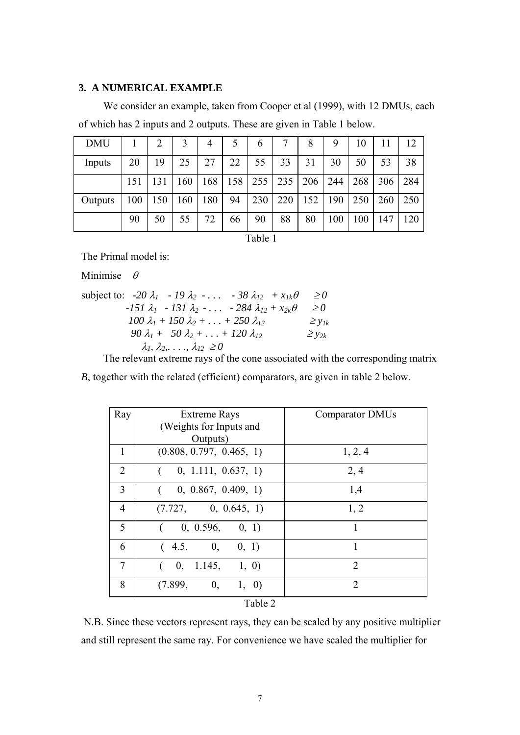## **3. A NUMERICAL EXAMPLE**

 We consider an example, taken from Cooper et al (1999), with 12 DMUs, each of which has 2 inputs and 2 outputs. These are given in Table 1 below.

| <b>DMU</b> |     |     |     | 4   |     | $\mathfrak b$ |             | 8   | 9   | 10  | 11  | 12  |
|------------|-----|-----|-----|-----|-----|---------------|-------------|-----|-----|-----|-----|-----|
| Inputs     | 20  | 19  | 25  | 27  | 22  | 55            | 33          | 31  | 30  | 50  | 53  | 38  |
|            | 151 | 131 | 160 | 168 | 158 | 255           | $\vert$ 235 | 206 | 244 | 268 | 306 | 284 |
| Outputs    | 100 | 150 | 160 | 180 | 94  | 230           | 220         | 152 | 190 | 250 | 260 | 250 |
|            | 90  | 50  | 55  | 72  | 66  | 90            | 88          | 80  | 100 | 100 | 147 | 120 |

Table 1

The Primal model is:

Minimise  $\theta$ 

subject to:  $-20 \lambda_1 - 19 \lambda_2 - \ldots - 38 \lambda_{12} + x_{1k} \theta \ge 0$ *-151*  $\lambda_1$  *-131*  $\lambda_2$  *-... -284*  $\lambda_{12}$  +  $x_{2k}\theta$   $\geq 0$  $100 \lambda_1 + 150 \lambda_2 + ... + 250 \lambda_{12}$   $\geq y_{1k}$ *90*  $\lambda_1$  + 50  $\lambda_2$  + . . . + 120  $\lambda_{12}$   $\geq y_{2k}$  $\lambda_1, \lambda_2, \ldots, \lambda_{12} \geq 0$ 

The relevant extreme rays of the cone associated with the corresponding matrix

*B*, together with the related (efficient) comparators, are given in table 2 below.

| Ray | <b>Extreme Rays</b>      | <b>Comparator DMUs</b> |
|-----|--------------------------|------------------------|
|     | (Weights for Inputs and  |                        |
|     | Outputs)                 |                        |
| 1   | (0.808, 0.797, 0.465, 1) | 1, 2, 4                |
| 2   | 0, 1.111, 0.637, 1)      | 2, 4                   |
| 3   | 0, 0.867, 0.409, 1       | 1,4                    |
| 4   | (7.727, 0, 0.645, 1)     | 1, 2                   |
| 5   | 0, 0.596, 0, 1)          | 1                      |
| 6   | (4.5, 0, 0, 1)           | 1                      |
| 7   | 0, 1.145, 1, 0)          | $\overline{2}$         |
| 8   | (7.899, 0, 1, 0)         | $\overline{2}$         |
|     | Table 2                  |                        |

 N.B. Since these vectors represent rays, they can be scaled by any positive multiplier and still represent the same ray. For convenience we have scaled the multiplier for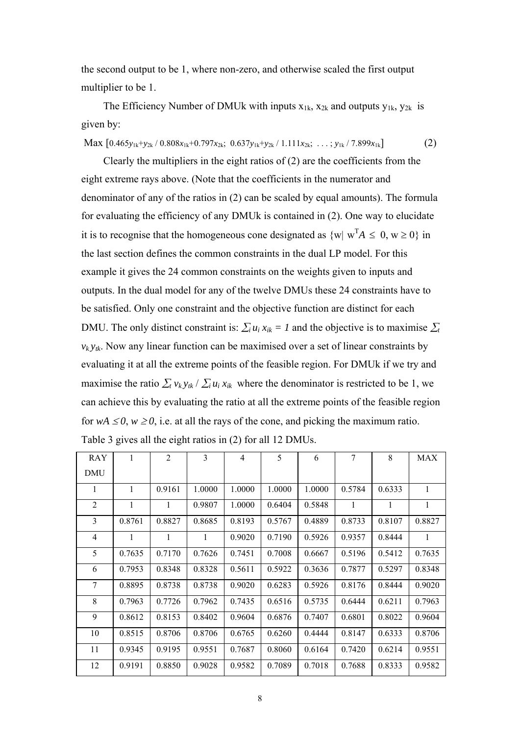the second output to be 1, where non-zero, and otherwise scaled the first output multiplier to be 1.

The Efficiency Number of DMUk with inputs  $x_{1k}$ ,  $x_{2k}$  and outputs  $y_{1k}$ ,  $y_{2k}$  is given by:

 $\text{Max} \left[ 0.465 y_{1k} + y_{2k} / 0.808 x_{1k} + 0.797 x_{2k}; 0.637 y_{1k} + y_{2k} / 1.111 x_{2k}; \ldots; y_{1k} / 7.899 x_{1k} \right]$  (2)

 Clearly the multipliers in the eight ratios of (2) are the coefficients from the eight extreme rays above. (Note that the coefficients in the numerator and denominator of any of the ratios in (2) can be scaled by equal amounts). The formula for evaluating the efficiency of any DMUk is contained in (2). One way to elucidate it is to recognise that the homogeneous cone designated as  $\{w | w^{T} A \leq 0, w \geq 0\}$  in the last section defines the common constraints in the dual LP model. For this example it gives the 24 common constraints on the weights given to inputs and outputs. In the dual model for any of the twelve DMUs these 24 constraints have to be satisfied. Only one constraint and the objective function are distinct for each DMU. The only distinct constraint is:  $\sum_i u_i x_{ik} = 1$  and the objective is to maximise  $\sum_i u_i$  $v_k y_{tk}$ . Now any linear function can be maximised over a set of linear constraints by evaluating it at all the extreme points of the feasible region. For DMUk if we try and maximise the ratio  $\sum_{i} v_k v_{ik} / \sum_{i} u_i x_{ik}$  where the denominator is restricted to be 1, we can achieve this by evaluating the ratio at all the extreme points of the feasible region for  $wA \leq 0$ ,  $w \geq 0$ , i.e. at all the rays of the cone, and picking the maximum ratio. Table 3 gives all the eight ratios in (2) for all 12 DMUs.

| <b>RAY</b> | 1      | 2            | 3      | $\overline{4}$ | 5      | 6      | 7            | 8      | MAX    |
|------------|--------|--------------|--------|----------------|--------|--------|--------------|--------|--------|
| DMU        |        |              |        |                |        |        |              |        |        |
| 1          | 1      | 0.9161       | 1.0000 | 1.0000         | 1.0000 | 1.0000 | 0.5784       | 0.6333 | 1      |
| 2          | 1      | $\mathbf{1}$ | 0.9807 | 1.0000         | 0.6404 | 0.5848 | $\mathbf{1}$ | 1      | 1      |
| 3          | 0.8761 | 0.8827       | 0.8685 | 0.8193         | 0.5767 | 0.4889 | 0.8733       | 0.8107 | 0.8827 |
| 4          | 1      | 1            | 1      | 0.9020         | 0.7190 | 0.5926 | 0.9357       | 0.8444 | 1      |
| 5          | 0.7635 | 0.7170       | 0.7626 | 0.7451         | 0.7008 | 0.6667 | 0.5196       | 0.5412 | 0.7635 |
| 6          | 0.7953 | 0.8348       | 0.8328 | 0.5611         | 0.5922 | 0.3636 | 0.7877       | 0.5297 | 0.8348 |
| 7          | 0.8895 | 0.8738       | 0.8738 | 0.9020         | 0.6283 | 0.5926 | 0.8176       | 0.8444 | 0.9020 |
| 8          | 0.7963 | 0.7726       | 0.7962 | 0.7435         | 0.6516 | 0.5735 | 0.6444       | 0.6211 | 0.7963 |
| 9          | 0.8612 | 0.8153       | 0.8402 | 0.9604         | 0.6876 | 0.7407 | 0.6801       | 0.8022 | 0.9604 |
| 10         | 0.8515 | 0.8706       | 0.8706 | 0.6765         | 0.6260 | 0.4444 | 0.8147       | 0.6333 | 0.8706 |
| 11         | 0.9345 | 0.9195       | 0.9551 | 0.7687         | 0.8060 | 0.6164 | 0.7420       | 0.6214 | 0.9551 |
| 12         | 0.9191 | 0.8850       | 0.9028 | 0.9582         | 0.7089 | 0.7018 | 0.7688       | 0.8333 | 0.9582 |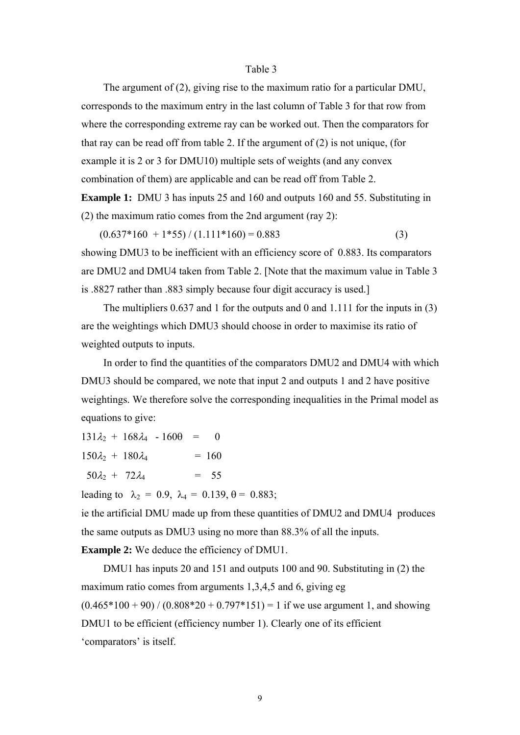#### Table 3

 The argument of (2), giving rise to the maximum ratio for a particular DMU, corresponds to the maximum entry in the last column of Table 3 for that row from where the corresponding extreme ray can be worked out. Then the comparators for that ray can be read off from table 2. If the argument of (2) is not unique, (for example it is 2 or 3 for DMU10) multiple sets of weights (and any convex combination of them) are applicable and can be read off from Table 2. **Example 1:** DMU 3 has inputs 25 and 160 and outputs 160 and 55. Substituting in (2) the maximum ratio comes from the 2nd argument (ray 2):

 $(0.637*160 + 1*55) / (1.111*160) = 0.883$  (3)

showing DMU3 to be inefficient with an efficiency score of 0.883. Its comparators are DMU2 and DMU4 taken from Table 2. [Note that the maximum value in Table 3 is .8827 rather than .883 simply because four digit accuracy is used.]

 The multipliers 0.637 and 1 for the outputs and 0 and 1.111 for the inputs in (3) are the weightings which DMU3 should choose in order to maximise its ratio of weighted outputs to inputs.

 In order to find the quantities of the comparators DMU2 and DMU4 with which DMU3 should be compared, we note that input 2 and outputs 1 and 2 have positive weightings. We therefore solve the corresponding inequalities in the Primal model as equations to give:

 $131\lambda_2 + 168\lambda_4 - 160\theta = 0$  $150\lambda_2 + 180\lambda_4 = 160$  $50\lambda_2 + 72\lambda_4 = 55$ leading to  $\lambda_2 = 0.9$ ,  $\lambda_4 = 0.139$ ,  $\theta = 0.883$ ;

ie the artificial DMU made up from these quantities of DMU2 and DMU4 produces the same outputs as DMU3 using no more than 88.3% of all the inputs.

**Example 2:** We deduce the efficiency of DMU1.

DMU1 has inputs 20 and 151 and outputs 100 and 90. Substituting in (2) the maximum ratio comes from arguments 1,3,4,5 and 6, giving eg  $(0.465*100+90)/(0.808*20+0.797*151) = 1$  if we use argument 1, and showing DMU1 to be efficient (efficiency number 1). Clearly one of its efficient 'comparators' is itself.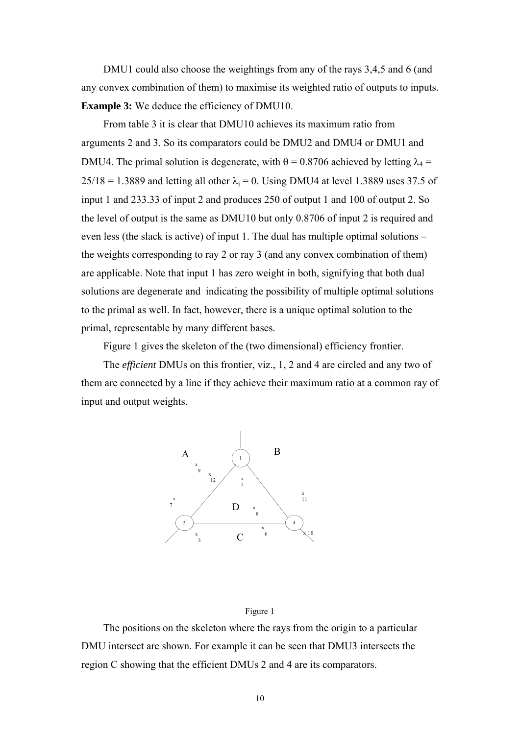DMU1 could also choose the weightings from any of the rays 3,4,5 and 6 (and any convex combination of them) to maximise its weighted ratio of outputs to inputs. **Example 3:** We deduce the efficiency of DMU10.

 From table 3 it is clear that DMU10 achieves its maximum ratio from arguments 2 and 3. So its comparators could be DMU2 and DMU4 or DMU1 and DMU4. The primal solution is degenerate, with  $\theta = 0.8706$  achieved by letting  $\lambda_4 =$  $25/18 = 1.3889$  and letting all other  $\lambda_i = 0$ . Using DMU4 at level 1.3889 uses 37.5 of input 1 and 233.33 of input 2 and produces 250 of output 1 and 100 of output 2. So the level of output is the same as DMU10 but only 0.8706 of input 2 is required and even less (the slack is active) of input 1. The dual has multiple optimal solutions – the weights corresponding to ray 2 or ray 3 (and any convex combination of them) are applicable. Note that input 1 has zero weight in both, signifying that both dual solutions are degenerate and indicating the possibility of multiple optimal solutions to the primal as well. In fact, however, there is a unique optimal solution to the primal, representable by many different bases.

Figure 1 gives the skeleton of the (two dimensional) efficiency frontier.

 The *efficient* DMUs on this frontier, viz., 1, 2 and 4 are circled and any two of them are connected by a line if they achieve their maximum ratio at a common ray of input and output weights.



#### Figure 1

 The positions on the skeleton where the rays from the origin to a particular DMU intersect are shown. For example it can be seen that DMU3 intersects the region C showing that the efficient DMUs 2 and 4 are its comparators.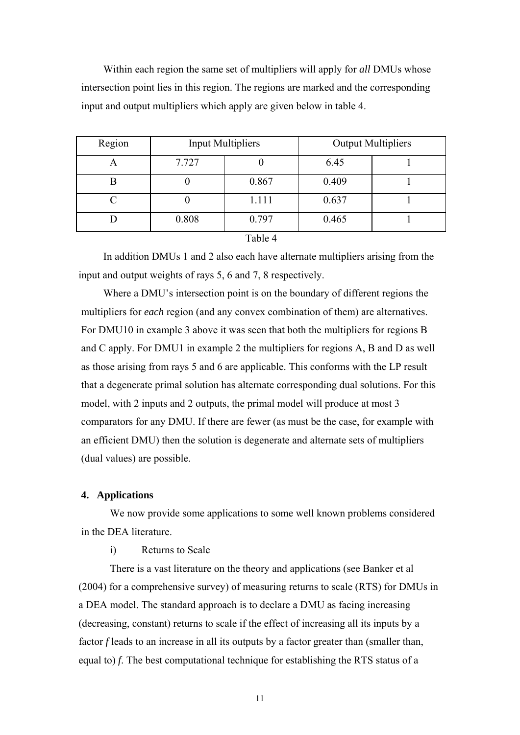Within each region the same set of multipliers will apply for *all* DMUs whose intersection point lies in this region. The regions are marked and the corresponding input and output multipliers which apply are given below in table 4.

| Region  |       | <b>Input Multipliers</b> | <b>Output Multipliers</b> |  |  |  |
|---------|-------|--------------------------|---------------------------|--|--|--|
|         | 7.727 |                          | 6.45                      |  |  |  |
|         | v     | 0.867                    | 0.409                     |  |  |  |
|         | U     | 1.111                    | 0.637                     |  |  |  |
|         | 0.808 | 0.797                    | 0.465                     |  |  |  |
| Table 4 |       |                          |                           |  |  |  |

 In addition DMUs 1 and 2 also each have alternate multipliers arising from the input and output weights of rays 5, 6 and 7, 8 respectively.

 Where a DMU's intersection point is on the boundary of different regions the multipliers for *each* region (and any convex combination of them) are alternatives. For DMU10 in example 3 above it was seen that both the multipliers for regions B and C apply. For DMU1 in example 2 the multipliers for regions A, B and D as well as those arising from rays 5 and 6 are applicable. This conforms with the LP result that a degenerate primal solution has alternate corresponding dual solutions. For this model, with 2 inputs and 2 outputs, the primal model will produce at most 3 comparators for any DMU. If there are fewer (as must be the case, for example with an efficient DMU) then the solution is degenerate and alternate sets of multipliers (dual values) are possible.

#### **4. Applications**

 We now provide some applications to some well known problems considered in the DEA literature.

i) Returns to Scale

 There is a vast literature on the theory and applications (see Banker et al (2004) for a comprehensive survey) of measuring returns to scale (RTS) for DMUs in a DEA model. The standard approach is to declare a DMU as facing increasing (decreasing, constant) returns to scale if the effect of increasing all its inputs by a factor *f* leads to an increase in all its outputs by a factor greater than (smaller than, equal to) *f*. The best computational technique for establishing the RTS status of a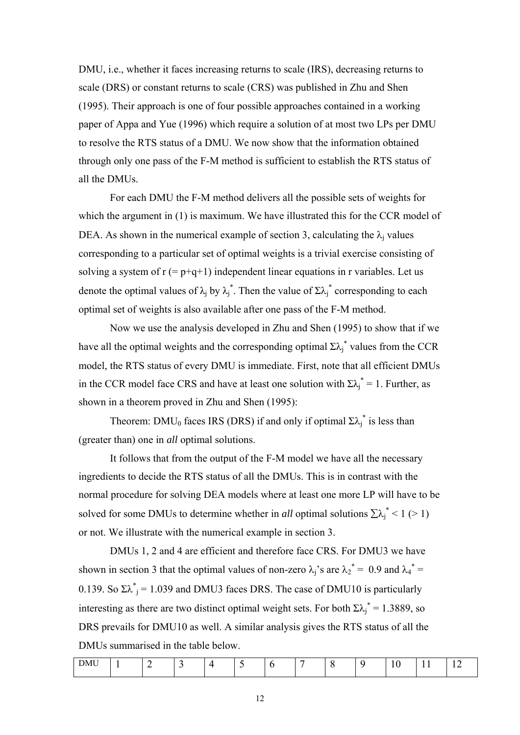DMU, i.e., whether it faces increasing returns to scale (IRS), decreasing returns to scale (DRS) or constant returns to scale (CRS) was published in Zhu and Shen (1995). Their approach is one of four possible approaches contained in a working paper of Appa and Yue (1996) which require a solution of at most two LPs per DMU to resolve the RTS status of a DMU. We now show that the information obtained through only one pass of the F-M method is sufficient to establish the RTS status of all the DMUs.

 For each DMU the F-M method delivers all the possible sets of weights for which the argument in (1) is maximum. We have illustrated this for the CCR model of DEA. As shown in the numerical example of section 3, calculating the  $\lambda_i$  values corresponding to a particular set of optimal weights is a trivial exercise consisting of solving a system of  $r = p+q+1$ ) independent linear equations in r variables. Let us denote the optimal values of  $\lambda_j$  by  $\lambda_j^*$ . Then the value of  $\Sigma \lambda_j^*$  corresponding to each optimal set of weights is also available after one pass of the F-M method.

 Now we use the analysis developed in Zhu and Shen (1995) to show that if we have all the optimal weights and the corresponding optimal  $\Sigma \lambda_i^*$  values from the CCR model, the RTS status of every DMU is immediate. First, note that all efficient DMUs in the CCR model face CRS and have at least one solution with  $\Sigma \lambda_i^* = 1$ . Further, as shown in a theorem proved in Zhu and Shen (1995):

Theorem: DMU<sub>0</sub> faces IRS (DRS) if and only if optimal  $\Sigma \lambda_i^*$  is less than (greater than) one in *all* optimal solutions.

 It follows that from the output of the F-M model we have all the necessary ingredients to decide the RTS status of all the DMUs. This is in contrast with the normal procedure for solving DEA models where at least one more LP will have to be solved for some DMUs to determine whether in *all* optimal solutions  $\sum \lambda_i^* < 1$  (> 1) or not. We illustrate with the numerical example in section 3.

 DMUs 1, 2 and 4 are efficient and therefore face CRS. For DMU3 we have shown in section 3 that the optimal values of non-zero  $\lambda_j$ 's are  $\lambda_2^* = 0.9$  and  $\lambda_4^* =$ 0.139. So  $\Sigma \lambda^* = 1.039$  and DMU3 faces DRS. The case of DMU10 is particularly interesting as there are two distinct optimal weight sets. For both  $\Sigma \lambda_j^* = 1.3889$ , so DRS prevails for DMU10 as well. A similar analysis gives the RTS status of all the DMUs summarised in the table below.

| $  -$<br>EN 1<br>_______ |  |  |  |  |  |  |  |  |  | $\sim$<br>- |  |  |
|--------------------------|--|--|--|--|--|--|--|--|--|-------------|--|--|
|--------------------------|--|--|--|--|--|--|--|--|--|-------------|--|--|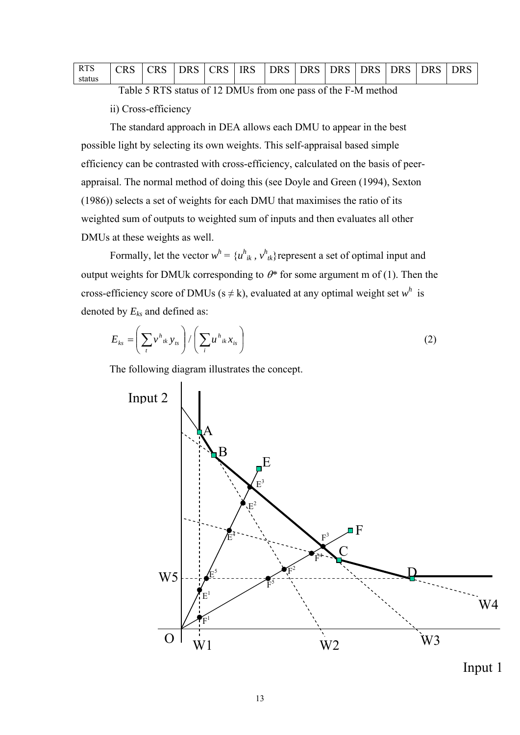| <b>RTS</b> | CRS | $\cap$ <sub>RS</sub> |  |  |  |  | S   DRS   CRS   IRS   DRS   DRS   DRS   DRS   DRS   DRS   DRS |  |
|------------|-----|----------------------|--|--|--|--|---------------------------------------------------------------|--|
| status     |     |                      |  |  |  |  |                                                               |  |

Table 5 RTS status of 12 DMUs from one pass of the F-M method

ii) Cross-efficiency

 The standard approach in DEA allows each DMU to appear in the best possible light by selecting its own weights. This self-appraisal based simple efficiency can be contrasted with cross-efficiency, calculated on the basis of peerappraisal. The normal method of doing this (see Doyle and Green (1994), Sexton (1986)) selects a set of weights for each DMU that maximises the ratio of its weighted sum of outputs to weighted sum of inputs and then evaluates all other DMUs at these weights as well.

Formally, let the vector  $w^h = \{u^h_{ik}, v^h_{ik}\}$ represent a set of optimal input and output weights for DMUk corresponding to  $\theta^*$  for some argument m of (1). Then the cross-efficiency score of DMUs ( $s \neq k$ ), evaluated at any optimal weight set  $w^h$  is denoted by *Eks* and defined as:

$$
E_{ks} = \left(\sum_{t} v^{h} u^{k} y_{ts}\right) / \left(\sum_{i} u^{h} u^{k} x_{is}\right)
$$
 (2)

The following diagram illustrates the concept.



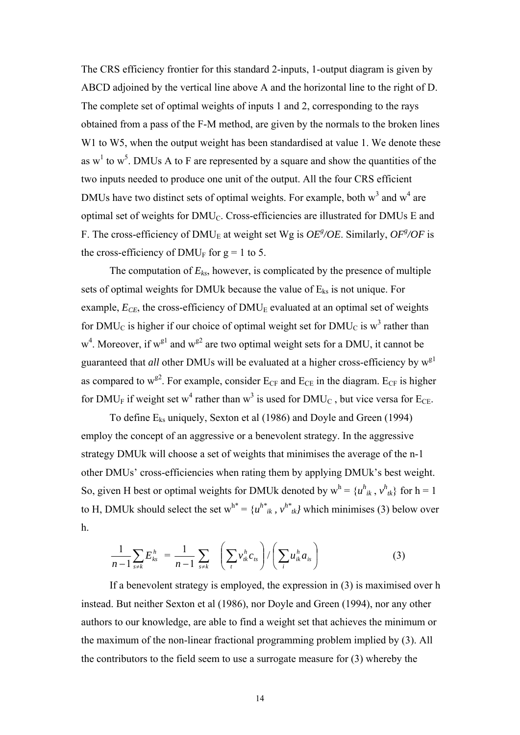The CRS efficiency frontier for this standard 2-inputs, 1-output diagram is given by ABCD adjoined by the vertical line above A and the horizontal line to the right of D. The complete set of optimal weights of inputs 1 and 2, corresponding to the rays obtained from a pass of the F-M method, are given by the normals to the broken lines W1 to W5, when the output weight has been standardised at value 1. We denote these as  $w<sup>1</sup>$  to  $w<sup>5</sup>$ . DMUs A to F are represented by a square and show the quantities of the two inputs needed to produce one unit of the output. All the four CRS efficient DMUs have two distinct sets of optimal weights. For example, both  $w<sup>3</sup>$  and  $w<sup>4</sup>$  are optimal set of weights for DMU<sub>C</sub>. Cross-efficiencies are illustrated for DMUs E and F. The cross-efficiency of DMU<sub>E</sub> at weight set Wg is *OE<sup>g</sup>/OE*. Similarly, *OF<sup>g</sup>/OF* is the cross-efficiency of DMU<sub>F</sub> for  $g = 1$  to 5.

The computation of  $E_{ks}$ , however, is complicated by the presence of multiple sets of optimal weights for DMUk because the value of  $E_{ks}$  is not unique. For example,  $E_{CE}$ , the cross-efficiency of  $DMU<sub>E</sub>$  evaluated at an optimal set of weights for  $DMU<sub>C</sub>$  is higher if our choice of optimal weight set for  $DMU<sub>C</sub>$  is w<sup>3</sup> rather than  $w<sup>4</sup>$ . Moreover, if  $w<sup>g1</sup>$  and  $w<sup>g2</sup>$  are two optimal weight sets for a DMU, it cannot be guaranteed that *all* other DMUs will be evaluated at a higher cross-efficiency by  $w^{g_1}$ as compared to  $w^{g2}$ . For example, consider  $E_{CF}$  and  $E_{CE}$  in the diagram.  $E_{CF}$  is higher for DMU<sub>F</sub> if weight set w<sup>4</sup> rather than w<sup>3</sup> is used for DMU<sub>C</sub>, but vice versa for E<sub>CE</sub>.

To define Eks uniquely, Sexton et al (1986) and Doyle and Green (1994) employ the concept of an aggressive or a benevolent strategy. In the aggressive strategy DMUk will choose a set of weights that minimises the average of the n-1 other DMUs' cross-efficiencies when rating them by applying DMUk's best weight. So, given H best or optimal weights for DMUk denoted by  $w^h = \{u^h_{ik}, v^h_{ik}\}\$  for  $h = 1$ to H, DMUk should select the set  $w^{h*} = \{u^{h*}_{ik}, v^{h*}_{ik}\}\$  which minimises (3) below over h.

$$
\frac{1}{n-1}\sum_{s\neq k}E_{ks}^h=\frac{1}{n-1}\sum_{s\neq k}\left[\sum_{t}\nu_{tk}^hc_{ts}\right]/\left(\sum_{i}u_{ik}^ha_{is}\right)
$$
(3)

If a benevolent strategy is employed, the expression in (3) is maximised over h instead. But neither Sexton et al (1986), nor Doyle and Green (1994), nor any other authors to our knowledge, are able to find a weight set that achieves the minimum or the maximum of the non-linear fractional programming problem implied by (3). All the contributors to the field seem to use a surrogate measure for (3) whereby the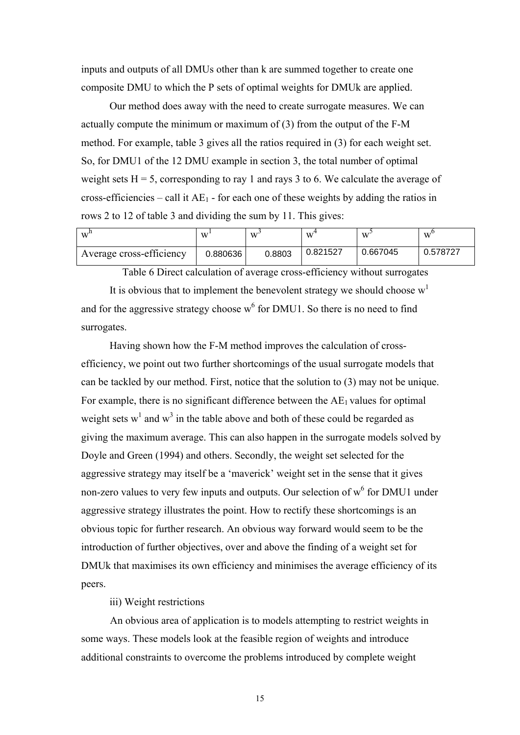inputs and outputs of all DMUs other than k are summed together to create one composite DMU to which the P sets of optimal weights for DMUk are applied.

Our method does away with the need to create surrogate measures. We can actually compute the minimum or maximum of (3) from the output of the F-M method. For example, table 3 gives all the ratios required in (3) for each weight set. So, for DMU1 of the 12 DMU example in section 3, the total number of optimal weight sets  $H = 5$ , corresponding to ray 1 and rays 3 to 6. We calculate the average of cross-efficiencies – call it  $AE_1$  - for each one of these weights by adding the ratios in rows 2 to 12 of table 3 and dividing the sum by 11. This gives:

| W                        | V        | W      | X        | W        | W        |
|--------------------------|----------|--------|----------|----------|----------|
| Average cross-efficiency | 0.880636 | 0.8803 | 0.821527 | 0.667045 | 0.578727 |

Table 6 Direct calculation of average cross-efficiency without surrogates

It is obvious that to implement the benevolent strategy we should choose  $w<sup>1</sup>$ and for the aggressive strategy choose  $w^6$  for DMU1. So there is no need to find surrogates.

Having shown how the F-M method improves the calculation of crossefficiency, we point out two further shortcomings of the usual surrogate models that can be tackled by our method. First, notice that the solution to (3) may not be unique. For example, there is no significant difference between the  $AE<sub>1</sub>$  values for optimal weight sets  $w<sup>1</sup>$  and  $w<sup>3</sup>$  in the table above and both of these could be regarded as giving the maximum average. This can also happen in the surrogate models solved by Doyle and Green (1994) and others. Secondly, the weight set selected for the aggressive strategy may itself be a 'maverick' weight set in the sense that it gives non-zero values to very few inputs and outputs. Our selection of  $w<sup>6</sup>$  for DMU1 under aggressive strategy illustrates the point. How to rectify these shortcomings is an obvious topic for further research. An obvious way forward would seem to be the introduction of further objectives, over and above the finding of a weight set for DMUk that maximises its own efficiency and minimises the average efficiency of its peers.

iii) Weight restrictions

 An obvious area of application is to models attempting to restrict weights in some ways. These models look at the feasible region of weights and introduce additional constraints to overcome the problems introduced by complete weight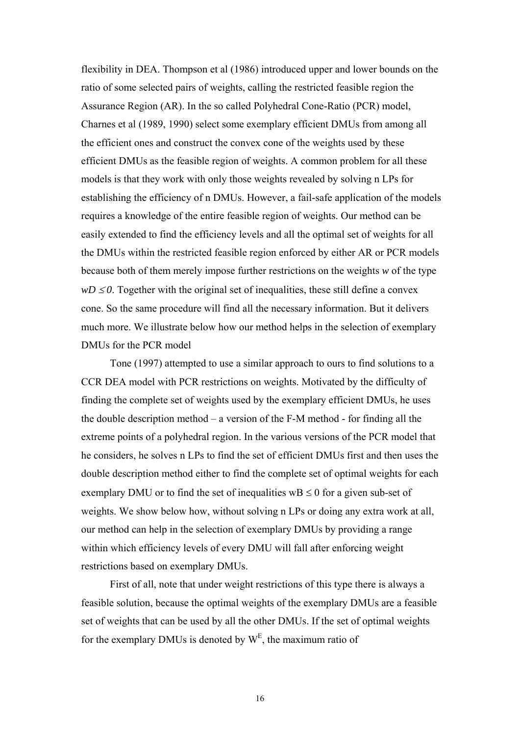flexibility in DEA. Thompson et al (1986) introduced upper and lower bounds on the ratio of some selected pairs of weights, calling the restricted feasible region the Assurance Region (AR). In the so called Polyhedral Cone-Ratio (PCR) model, Charnes et al (1989, 1990) select some exemplary efficient DMUs from among all the efficient ones and construct the convex cone of the weights used by these efficient DMUs as the feasible region of weights. A common problem for all these models is that they work with only those weights revealed by solving n LPs for establishing the efficiency of n DMUs. However, a fail-safe application of the models requires a knowledge of the entire feasible region of weights. Our method can be easily extended to find the efficiency levels and all the optimal set of weights for all the DMUs within the restricted feasible region enforced by either AR or PCR models because both of them merely impose further restrictions on the weights *w* of the type  $wD \leq 0$ . Together with the original set of inequalities, these still define a convex cone. So the same procedure will find all the necessary information. But it delivers much more. We illustrate below how our method helps in the selection of exemplary DMUs for the PCR model

 Tone (1997) attempted to use a similar approach to ours to find solutions to a CCR DEA model with PCR restrictions on weights. Motivated by the difficulty of finding the complete set of weights used by the exemplary efficient DMUs, he uses the double description method – a version of the F-M method - for finding all the extreme points of a polyhedral region. In the various versions of the PCR model that he considers, he solves n LPs to find the set of efficient DMUs first and then uses the double description method either to find the complete set of optimal weights for each exemplary DMU or to find the set of inequalities  $wB \le 0$  for a given sub-set of weights. We show below how, without solving n LPs or doing any extra work at all, our method can help in the selection of exemplary DMUs by providing a range within which efficiency levels of every DMU will fall after enforcing weight restrictions based on exemplary DMUs.

 First of all, note that under weight restrictions of this type there is always a feasible solution, because the optimal weights of the exemplary DMUs are a feasible set of weights that can be used by all the other DMUs. If the set of optimal weights for the exemplary DMUs is denoted by  $W<sup>E</sup>$ , the maximum ratio of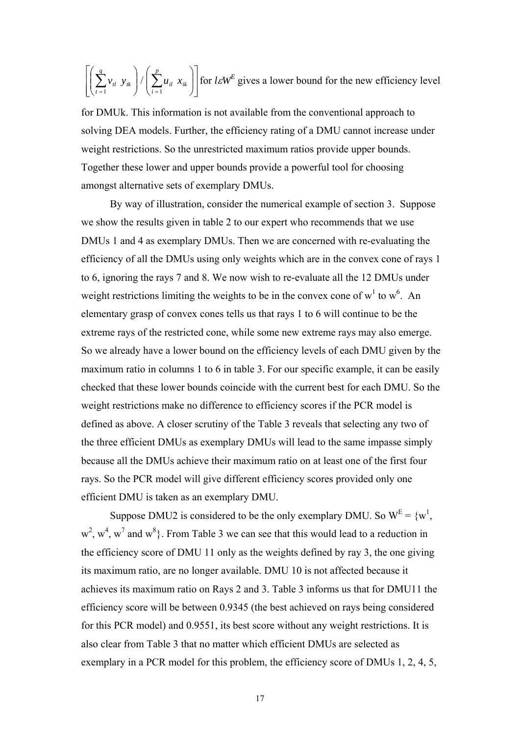$$
\left[ \left( \sum_{i=1}^{q} v_{il} y_{ik} \right) / \left( \sum_{i=1}^{p} u_{il} x_{ik} \right) \right]
$$
 for  $l \in W^{E}$  gives a lower bound for the new efficiency level

for DMUk. This information is not available from the conventional approach to solving DEA models. Further, the efficiency rating of a DMU cannot increase under weight restrictions. So the unrestricted maximum ratios provide upper bounds. Together these lower and upper bounds provide a powerful tool for choosing amongst alternative sets of exemplary DMUs.

 By way of illustration, consider the numerical example of section 3. Suppose we show the results given in table 2 to our expert who recommends that we use DMUs 1 and 4 as exemplary DMUs. Then we are concerned with re-evaluating the efficiency of all the DMUs using only weights which are in the convex cone of rays 1 to 6, ignoring the rays 7 and 8. We now wish to re-evaluate all the 12 DMUs under weight restrictions limiting the weights to be in the convex cone of  $w<sup>1</sup>$  to  $w<sup>6</sup>$ . An elementary grasp of convex cones tells us that rays 1 to 6 will continue to be the extreme rays of the restricted cone, while some new extreme rays may also emerge. So we already have a lower bound on the efficiency levels of each DMU given by the maximum ratio in columns 1 to 6 in table 3. For our specific example, it can be easily checked that these lower bounds coincide with the current best for each DMU. So the weight restrictions make no difference to efficiency scores if the PCR model is defined as above. A closer scrutiny of the Table 3 reveals that selecting any two of the three efficient DMUs as exemplary DMUs will lead to the same impasse simply because all the DMUs achieve their maximum ratio on at least one of the first four rays. So the PCR model will give different efficiency scores provided only one efficient DMU is taken as an exemplary DMU.

Suppose DMU2 is considered to be the only exemplary DMU. So  $W^E = \{w^1,$  $w^2$ ,  $w^4$ ,  $w^7$  and  $w^8$ . From Table 3 we can see that this would lead to a reduction in the efficiency score of DMU 11 only as the weights defined by ray 3, the one giving its maximum ratio, are no longer available. DMU 10 is not affected because it achieves its maximum ratio on Rays 2 and 3. Table 3 informs us that for DMU11 the efficiency score will be between 0.9345 (the best achieved on rays being considered for this PCR model) and 0.9551, its best score without any weight restrictions. It is also clear from Table 3 that no matter which efficient DMUs are selected as exemplary in a PCR model for this problem, the efficiency score of DMUs 1, 2, 4, 5,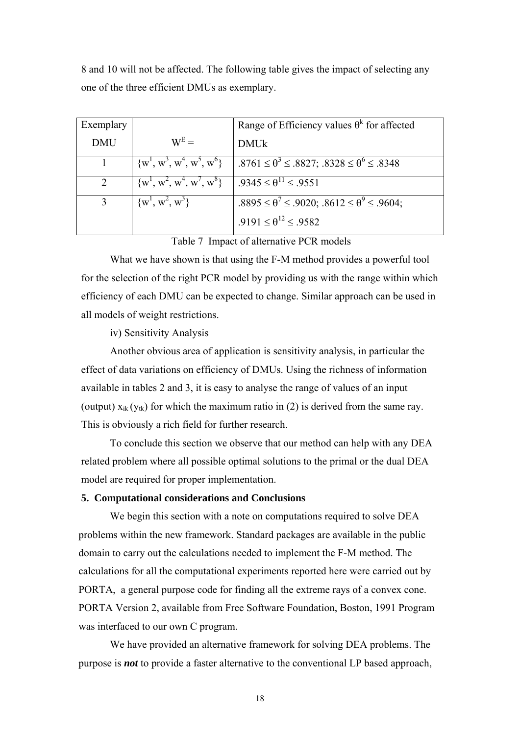8 and 10 will not be affected. The following table gives the impact of selecting any one of the three efficient DMUs as exemplary.

| Exemplary  |                               | Range of Efficiency values $\theta^k$ for affected                |
|------------|-------------------------------|-------------------------------------------------------------------|
| <b>DMU</b> | $W^E =$                       | <b>DMUk</b>                                                       |
|            | $\{W^1, W^3, W^4, W^5, W^6\}$ | $.8761 \le \theta^3 \le .8827$ ; $.8328 \le \theta^6 \le .8348$   |
| 2          | $\{w^1, w^2, w^4, w', w^8\}$  | $.9345 \le \theta^{11} \le .9551$                                 |
|            | $\{W^1, W^2, W^3\}$           | $.8895 \le \theta^7 \le .9020$ ; $.8612 \le \theta^9 \le .9604$ ; |
|            |                               | $.9191 \le \theta^{12} \le .9582$                                 |

Table 7 Impact of alternative PCR models

 What we have shown is that using the F-M method provides a powerful tool for the selection of the right PCR model by providing us with the range within which efficiency of each DMU can be expected to change. Similar approach can be used in all models of weight restrictions.

iv) Sensitivity Analysis

 Another obvious area of application is sensitivity analysis, in particular the effect of data variations on efficiency of DMUs. Using the richness of information available in tables 2 and 3, it is easy to analyse the range of values of an input (output)  $x_{ik}$  ( $y_{ik}$ ) for which the maximum ratio in (2) is derived from the same ray. This is obviously a rich field for further research.

 To conclude this section we observe that our method can help with any DEA related problem where all possible optimal solutions to the primal or the dual DEA model are required for proper implementation.

### **5. Computational considerations and Conclusions**

 We begin this section with a note on computations required to solve DEA problems within the new framework. Standard packages are available in the public domain to carry out the calculations needed to implement the F-M method. The calculations for all the computational experiments reported here were carried out by PORTA, a general purpose code for finding all the extreme rays of a convex cone. PORTA Version 2, available from Free Software Foundation, Boston, 1991 Program was interfaced to our own C program.

We have provided an alternative framework for solving DEA problems. The purpose is *not* to provide a faster alternative to the conventional LP based approach,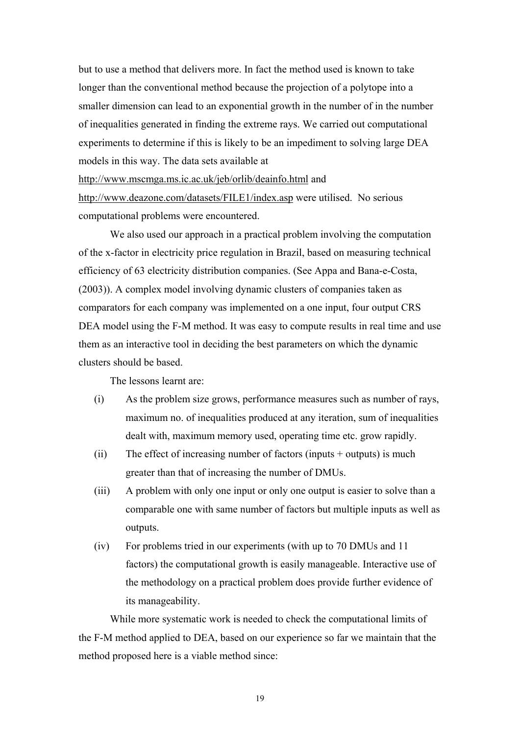but to use a method that delivers more. In fact the method used is known to take longer than the conventional method because the projection of a polytope into a smaller dimension can lead to an exponential growth in the number of in the number of inequalities generated in finding the extreme rays. We carried out computational experiments to determine if this is likely to be an impediment to solving large DEA models in this way. The data sets available at

http://www.mscmga.ms.ic.ac.uk/jeb/orlib/deainfo.html and http://www.deazone.com/datasets/FILE1/index.asp were utilised. No serious computational problems were encountered.

 We also used our approach in a practical problem involving the computation of the x-factor in electricity price regulation in Brazil, based on measuring technical efficiency of 63 electricity distribution companies. (See Appa and Bana-e-Costa, (2003)). A complex model involving dynamic clusters of companies taken as comparators for each company was implemented on a one input, four output CRS DEA model using the F-M method. It was easy to compute results in real time and use them as an interactive tool in deciding the best parameters on which the dynamic clusters should be based.

The lessons learnt are:

- (i) As the problem size grows, performance measures such as number of rays, maximum no. of inequalities produced at any iteration, sum of inequalities dealt with, maximum memory used, operating time etc. grow rapidly.
- (ii) The effect of increasing number of factors (inputs + outputs) is much greater than that of increasing the number of DMUs.
- (iii) A problem with only one input or only one output is easier to solve than a comparable one with same number of factors but multiple inputs as well as outputs.
- (iv) For problems tried in our experiments (with up to 70 DMUs and 11 factors) the computational growth is easily manageable. Interactive use of the methodology on a practical problem does provide further evidence of its manageability.

 While more systematic work is needed to check the computational limits of the F-M method applied to DEA, based on our experience so far we maintain that the method proposed here is a viable method since: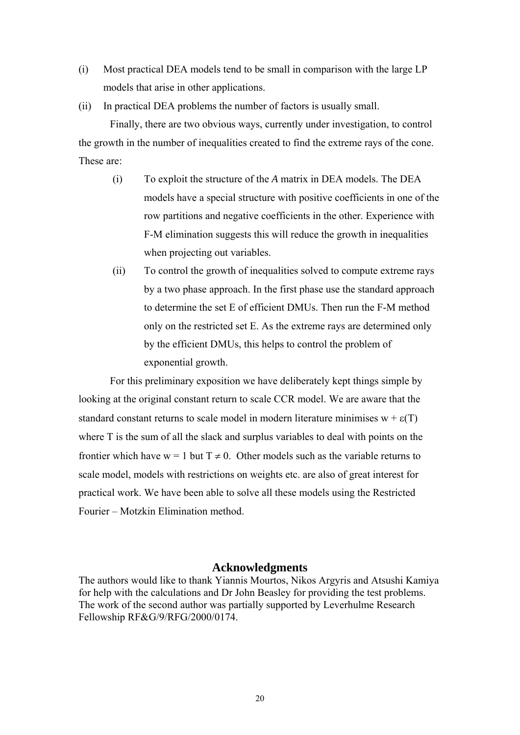- (i) Most practical DEA models tend to be small in comparison with the large LP models that arise in other applications.
- (ii) In practical DEA problems the number of factors is usually small.

 Finally, there are two obvious ways, currently under investigation, to control the growth in the number of inequalities created to find the extreme rays of the cone. These are:

- (i) To exploit the structure of the *A* matrix in DEA models. The DEA models have a special structure with positive coefficients in one of the row partitions and negative coefficients in the other. Experience with F-M elimination suggests this will reduce the growth in inequalities when projecting out variables.
- (ii) To control the growth of inequalities solved to compute extreme rays by a two phase approach. In the first phase use the standard approach to determine the set E of efficient DMUs. Then run the F-M method only on the restricted set E. As the extreme rays are determined only by the efficient DMUs, this helps to control the problem of exponential growth.

 For this preliminary exposition we have deliberately kept things simple by looking at the original constant return to scale CCR model. We are aware that the standard constant returns to scale model in modern literature minimises  $w + \varepsilon(T)$ where T is the sum of all the slack and surplus variables to deal with points on the frontier which have  $w = 1$  but  $T \neq 0$ . Other models such as the variable returns to scale model, models with restrictions on weights etc. are also of great interest for practical work. We have been able to solve all these models using the Restricted Fourier – Motzkin Elimination method.

# **Acknowledgments**

The authors would like to thank Yiannis Mourtos, Nikos Argyris and Atsushi Kamiya for help with the calculations and Dr John Beasley for providing the test problems. The work of the second author was partially supported by Leverhulme Research Fellowship RF&G/9/RFG/2000/0174.